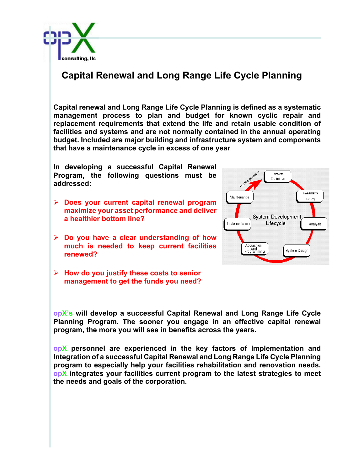

## **Capital Renewal and Long Range Life Cycle Planning**

**Capital renewal and Long Range Life Cycle Planning is defined as a systematic management process to plan and budget for known cyclic repair and replacement requirements that extend the life and retain usable condition of facilities and systems and are not normally contained in the annual operating budget. Included are major building and infrastructure system and components that have a maintenance cycle in excess of one year**.

**In developing a successful Capital Renewal Program, the following questions must be addressed:**

- Ø **Does your current capital renewal program maximize your asset performance and deliver a healthier bottom line?**
- Ø **Do you have a clear understanding of how much is needed to keep current facilities renewed?**
- Ø **How do you justify these costs to senior management to get the funds you need?**



**opX's will develop a successful Capital Renewal and Long Range Life Cycle Planning Program. The sooner you engage in an effective capital renewal program, the more you will see in benefits across the years.**

**opX personnel are experienced in the key factors of Implementation and Integration of a successful Capital Renewal and Long Range Life Cycle Planning program to especially help your facilities rehabilitation and renovation needs. opX integrates your facilities current program to the latest strategies to meet the needs and goals of the corporation.**